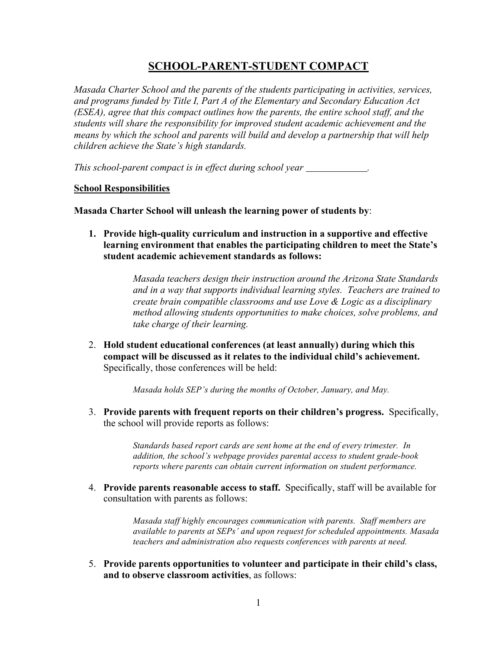# **SCHOOL-PARENT-STUDENT COMPACT**

*Masada Charter School and the parents of the students participating in activities, services, and programs funded by Title I, Part A of the Elementary and Secondary Education Act (ESEA), agree that this compact outlines how the parents, the entire school staff, and the students will share the responsibility for improved student academic achievement and the means by which the school and parents will build and develop a partnership that will help children achieve the State's high standards.*

*This school-parent compact is in effect during school year .*

### **School Responsibilities**

**Masada Charter School will unleash the learning power of students by**:

**1. Provide high-quality curriculum and instruction in a supportive and effective learning environment that enables the participating children to meet the State's student academic achievement standards as follows:**

> *Masada teachers design their instruction around the Arizona State Standards and in a way that supports individual learning styles. Teachers are trained to create brain compatible classrooms and use Love & Logic as a disciplinary method allowing students opportunities to make choices, solve problems, and take charge of their learning.*

2. **Hold student educational conferences (at least annually) during which this compact will be discussed as it relates to the individual child's achievement.**  Specifically, those conferences will be held:

*Masada holds SEP's during the months of October, January, and May.*

3. **Provide parents with frequent reports on their children's progress.** Specifically, the school will provide reports as follows:

> *Standards based report cards are sent home at the end of every trimester. In addition, the school's webpage provides parental access to student grade-book reports where parents can obtain current information on student performance.*

4. **Provide parents reasonable access to staff.** Specifically, staff will be available for consultation with parents as follows:

> *Masada staff highly encourages communication with parents. Staff members are available to parents at SEPs' and upon request for scheduled appointments. Masada teachers and administration also requests conferences with parents at need.*

5. **Provide parents opportunities to volunteer and participate in their child's class, and to observe classroom activities**, as follows: